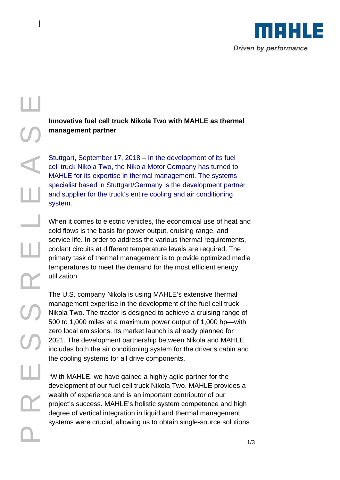

## P R E R E A S E L **Innovative fuel cell truck Nikola Two with MAHLE as thermal management partner**

Stuttgart, September 17, 2018 – In the development of its fuel cell truck Nikola Two, the Nikola Motor Company has turned to MAHLE for its expertise in thermal management. The systems specialist based in Stuttgart/Germany is the development partner and supplier for the truck's entire cooling and air conditioning system.

When it comes to electric vehicles, the economical use of heat and cold flows is the basis for power output, cruising range, and service life. In order to address the various thermal requirements, coolant circuits at different temperature levels are required. The primary task of thermal management is to provide optimized media temperatures to meet the demand for the most efficient energy utilization.

The U.S. company Nikola is using MAHLE's extensive thermal management expertise in the development of the fuel cell truck Nikola Two. The tractor is designed to achieve a cruising range of 500 to 1,000 miles at a maximum power output of 1,000 hp—with zero local emissions. Its market launch is already planned for 2021. The development partnership between Nikola and MAHLE includes both the air conditioning system for the driver's cabin and the cooling systems for all drive components.

"With MAHLE, we have gained a highly agile partner for the development of our fuel cell truck Nikola Two. MAHLE provides a wealth of experience and is an important contributor of our project's success. MAHLE's holistic system competence and high degree of vertical integration in liquid and thermal management systems were crucial, allowing us to obtain single-source solutions

 $\mathbb{L}$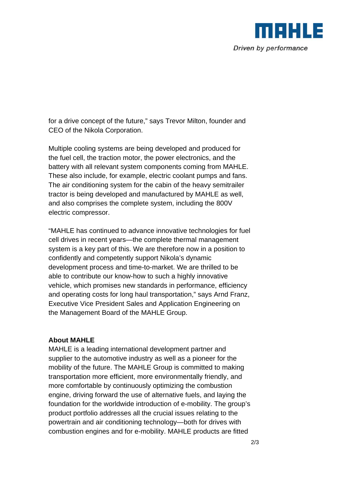

for a drive concept of the future," says Trevor Milton, founder and CEO of the Nikola Corporation.

Multiple cooling systems are being developed and produced for the fuel cell, the traction motor, the power electronics, and the battery with all relevant system components coming from MAHLE. These also include, for example, electric coolant pumps and fans. The air conditioning system for the cabin of the heavy semitrailer tractor is being developed and manufactured by MAHLE as well, and also comprises the complete system, including the 800V electric compressor.

"MAHLE has continued to advance innovative technologies for fuel cell drives in recent years—the complete thermal management system is a key part of this. We are therefore now in a position to confidently and competently support Nikola's dynamic development process and time-to-market. We are thrilled to be able to contribute our know-how to such a highly innovative vehicle, which promises new standards in performance, efficiency and operating costs for long haul transportation," says Arnd Franz, Executive Vice President Sales and Application Engineering on the Management Board of the MAHLE Group.

## **About MAHLE**

MAHLE is a leading international development partner and supplier to the automotive industry as well as a pioneer for the mobility of the future. The MAHLE Group is committed to making transportation more efficient, more environmentally friendly, and more comfortable by continuously optimizing the combustion engine, driving forward the use of alternative fuels, and laying the foundation for the worldwide introduction of e-mobility. The group's product portfolio addresses all the crucial issues relating to the powertrain and air conditioning technology—both for drives with combustion engines and for e-mobility. MAHLE products are fitted